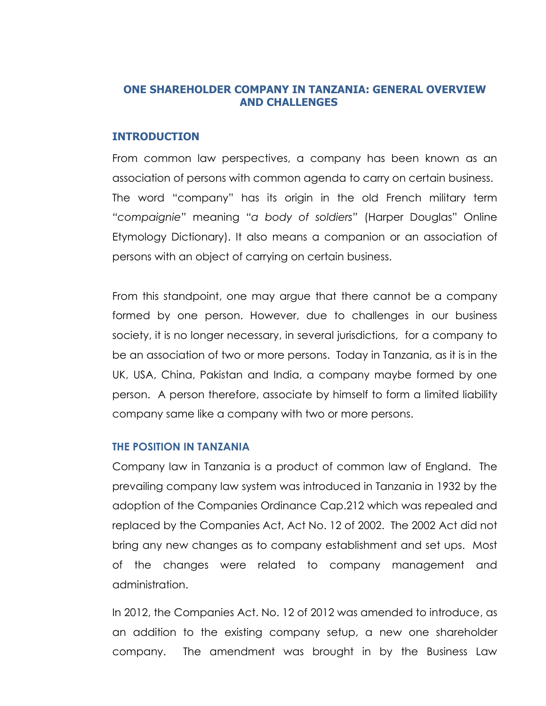## **ONE SHAREHOLDER COMPANY IN TANZANIA: GENERAL OVERVIEW AND CHALLENGES**

### **INTRODUCTION**

From common law perspectives, a company has been known as an association of persons with common agenda to carry on certain business. The word "company" has its origin in the old French military term *"compaignie"* meaning *"a body of soldiers"* (Harper Douglas" Online Etymology Dictionary). It also means a companion or an association of persons with an object of carrying on certain business.

From this standpoint, one may argue that there cannot be a company formed by one person. However, due to challenges in our business society, it is no longer necessary, in several jurisdictions, for a company to be an association of two or more persons. Today in Tanzania, as it is in the UK, USA, China, Pakistan and India, a company maybe formed by one person. A person therefore, associate by himself to form a limited liability company same like a company with two or more persons.

## **THE POSITION IN TANZANIA**

Company law in Tanzania is a product of common law of England. The prevailing company law system was introduced in Tanzania in 1932 by the adoption of the Companies Ordinance Cap.212 which was repealed and replaced by the Companies Act, Act No. 12 of 2002. The 2002 Act did not bring any new changes as to company establishment and set ups. Most of the changes were related to company management and administration.

In 2012, the Companies Act. No. 12 of 2012 was amended to introduce, as an addition to the existing company setup, a new one shareholder company. The amendment was brought in by the Business Law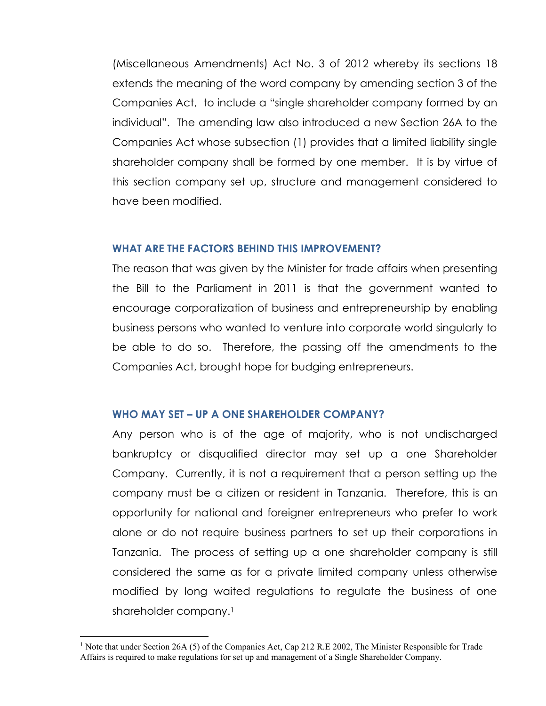(Miscellaneous Amendments) Act No. 3 of 2012 whereby its sections 18 extends the meaning of the word company by amending section 3 of the Companies Act, to include a "single shareholder company formed by an individual". The amending law also introduced a new Section 26A to the Companies Act whose subsection (1) provides that a limited liability single shareholder company shall be formed by one member. It is by virtue of this section company set up, structure and management considered to have been modified.

### **WHAT ARE THE FACTORS BEHIND THIS IMPROVEMENT?**

The reason that was given by the Minister for trade affairs when presenting the Bill to the Parliament in 2011 is that the government wanted to encourage corporatization of business and entrepreneurship by enabling business persons who wanted to venture into corporate world singularly to be able to do so. Therefore, the passing off the amendments to the Companies Act, brought hope for budging entrepreneurs.

### **WHO MAY SET – UP A ONE SHAREHOLDER COMPANY?**

Any person who is of the age of majority, who is not undischarged bankruptcy or disqualified director may set up a one Shareholder Company. Currently, it is not a requirement that a person setting up the company must be a citizen or resident in Tanzania. Therefore, this is an opportunity for national and foreigner entrepreneurs who prefer to work alone or do not require business partners to set up their corporations in Tanzania. The process of setting up a one shareholder company is still considered the same as for a private limited company unless otherwise modified by long waited regulations to regulate the business of one shareholder company. 1

<u>.</u>

<sup>&</sup>lt;sup>1</sup> Note that under Section 26A (5) of the Companies Act, Cap 212 R.E 2002, The Minister Responsible for Trade Affairs is required to make regulations for set up and management of a Single Shareholder Company.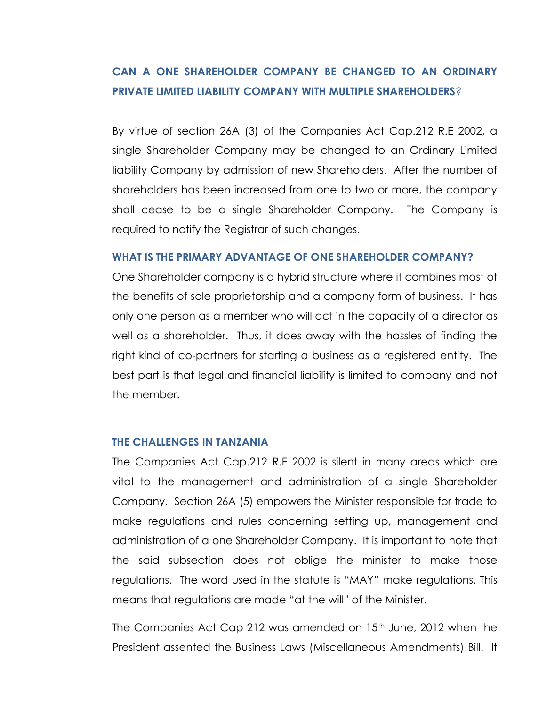# **CAN A ONE SHAREHOLDER COMPANY BE CHANGED TO AN ORDINARY PRIVATE LIMITED LIABILITY COMPANY WITH MULTIPLE SHAREHOLDERS**?

By virtue of section 26A (3) of the Companies Act Cap.212 R.E 2002, a single Shareholder Company may be changed to an Ordinary Limited liability Company by admission of new Shareholders. After the number of shareholders has been increased from one to two or more, the company shall cease to be a single Shareholder Company. The Company is required to notify the Registrar of such changes.

### **WHAT IS THE PRIMARY ADVANTAGE OF ONE SHAREHOLDER COMPANY?**

One Shareholder company is a hybrid structure where it combines most of the benefits of sole proprietorship and a company form of business. It has only one person as a member who will act in the capacity of a director as well as a shareholder. Thus, it does away with the hassles of finding the right kind of co-partners for starting a business as a registered entity. The best part is that legal and financial liability is limited to company and not the member.

#### **THE CHALLENGES IN TANZANIA**

The Companies Act Cap.212 R.E 2002 is silent in many areas which are vital to the management and administration of a single Shareholder Company. Section 26A (5) empowers the Minister responsible for trade to make regulations and rules concerning setting up, management and administration of a one Shareholder Company. It is important to note that the said subsection does not oblige the minister to make those regulations. The word used in the statute is "MAY" make regulations. This means that regulations are made "at the will" of the Minister.

The Companies Act Cap 212 was amended on 15<sup>th</sup> June, 2012 when the President assented the Business Laws (Miscellaneous Amendments) Bill. It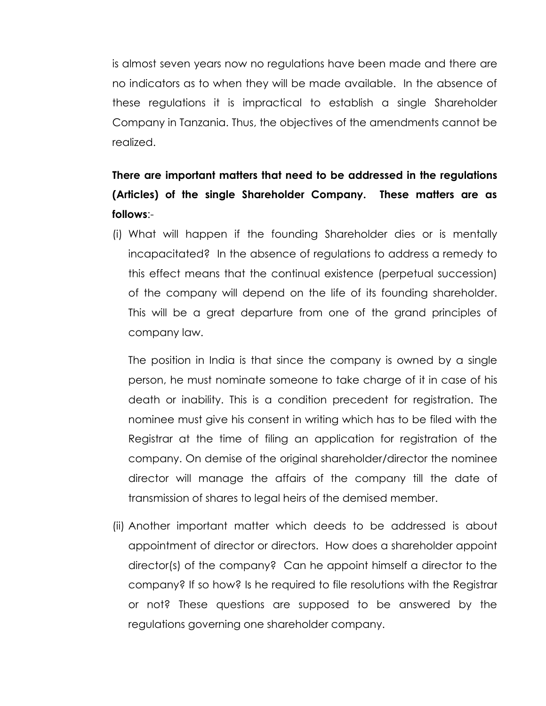is almost seven years now no regulations have been made and there are no indicators as to when they will be made available. In the absence of these regulations it is impractical to establish a single Shareholder Company in Tanzania. Thus, the objectives of the amendments cannot be realized.

# **There are important matters that need to be addressed in the regulations (Articles) of the single Shareholder Company. These matters are as follows**:-

(i) What will happen if the founding Shareholder dies or is mentally incapacitated? In the absence of regulations to address a remedy to this effect means that the continual existence (perpetual succession) of the company will depend on the life of its founding shareholder. This will be a great departure from one of the grand principles of company law.

The position in India is that since the company is owned by a single person, he must nominate someone to take charge of it in case of his death or inability. This is a condition precedent for registration. The nominee must give his consent in writing which has to be filed with the Registrar at the time of filing an application for registration of the company. On demise of the original shareholder/director the nominee director will manage the affairs of the company till the date of transmission of shares to legal heirs of the demised member.

(ii) Another important matter which deeds to be addressed is about appointment of director or directors. How does a shareholder appoint director(s) of the company? Can he appoint himself a director to the company? If so how? Is he required to file resolutions with the Registrar or not? These questions are supposed to be answered by the regulations governing one shareholder company.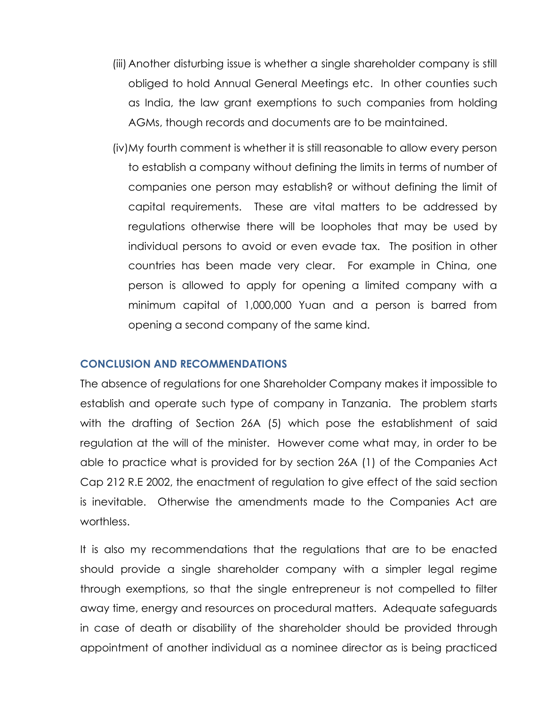- (iii) Another disturbing issue is whether a single shareholder company is still obliged to hold Annual General Meetings etc. In other counties such as India, the law grant exemptions to such companies from holding AGMs, though records and documents are to be maintained.
- (iv)My fourth comment is whether it is still reasonable to allow every person to establish a company without defining the limits in terms of number of companies one person may establish? or without defining the limit of capital requirements. These are vital matters to be addressed by regulations otherwise there will be loopholes that may be used by individual persons to avoid or even evade tax. The position in other countries has been made very clear. For example in China, one person is allowed to apply for opening a limited company with a minimum capital of 1,000,000 Yuan and a person is barred from opening a second company of the same kind.

#### **CONCLUSION AND RECOMMENDATIONS**

The absence of regulations for one Shareholder Company makes it impossible to establish and operate such type of company in Tanzania. The problem starts with the drafting of Section 26A (5) which pose the establishment of said regulation at the will of the minister. However come what may, in order to be able to practice what is provided for by section 26A (1) of the Companies Act Cap 212 R.E 2002, the enactment of regulation to give effect of the said section is inevitable. Otherwise the amendments made to the Companies Act are worthless.

It is also my recommendations that the regulations that are to be enacted should provide a single shareholder company with a simpler legal regime through exemptions, so that the single entrepreneur is not compelled to filter away time, energy and resources on procedural matters. Adequate safeguards in case of death or disability of the shareholder should be provided through appointment of another individual as a nominee director as is being practiced